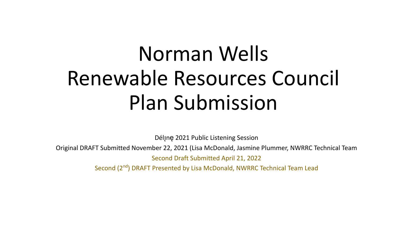# Norman Wells Renewable Resources Council Plan Submission

Dél<sub>J</sub>ne 2021 Public Listening Session

Original DRAFT Submitted November 22, 2021 (Lisa McDonald, Jasmine Plummer, NWRRC Technical Team Second Draft Submitted April 21, 2022

Second (2<sup>nd</sup>) DRAFT Presented by Lisa McDonald, NWRRC Technical Team Lead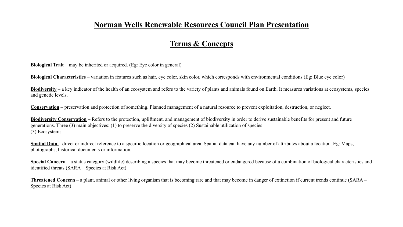#### **Norman Wells Renewable Resources Council Plan Presentation**

#### **Terms & Concepts**

**Biological Trait** – may be inherited or acquired. (Eg: Eye color in general)

**Biological Characteristics** – variation in features such as hair, eye color, skin color, which corresponds with environmental conditions (Eg: Blue eye color)

**Biodiversity** – a key indicator of the health of an ecosystem and refers to the variety of plants and animals found on Earth. It measures variations at ecosystems, species and genetic levels.

**Conservation** – preservation and protection of something. Planned management of a natural resource to prevent exploitation, destruction, or neglect.

**Biodiversity Conservation** – Refers to the protection, upliftment, and management of biodiversity in order to derive sustainable benefits for present and future generations. Three (3) main objectives: (1) to preserve the diversity of species (2) Sustainable utilization of species (3) Ecosystems.

**Spatial Data** – direct or indirect reference to a specific location or geographical area. Spatial data can have any number of attributes about a location. Eg: Maps, photographs, historical documents or information.

**Special Concern** – a status category (wildlife) describing a species that may become threatened or endangered because of a combination of biological characteristics and identified threats (SARA – Species at Risk Act)

**Threatened Concern** – a plant, animal or other living organism that is becoming rare and that may become in danger of extinction if current trends continue (SARA – Species at Risk Act)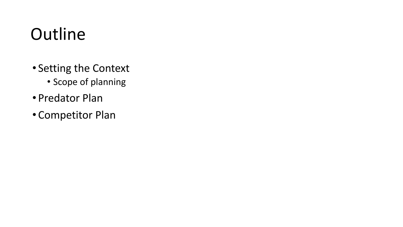## **Outline**

- Setting the Context
	- Scope of planning
- Predator Plan
- Competitor Plan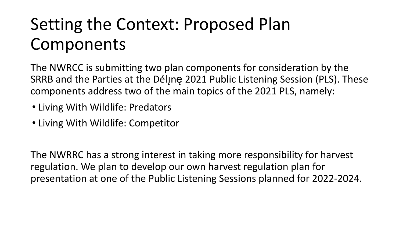## Setting the Context: Proposed Plan Components

The NWRCC is submitting two plan components for consideration by the SRRB and the Parties at the Déline 2021 Public Listening Session (PLS). These components address two of the main topics of the 2021 PLS, namely:

- Living With Wildlife: Predators
- Living With Wildlife: Competitor

The NWRRC has a strong interest in taking more responsibility for harvest regulation. We plan to develop our own harvest regulation plan for presentation at one of the Public Listening Sessions planned for 2022-2024.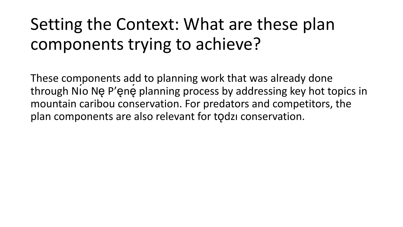## Setting the Context: What are these plan components trying to achieve?

These components add to planning work that was already done through Nı́o Nę P'ęnę́ planning process by addressing key hot topics in mountain caribou conservation. For predators and competitors, the plan components are also relevant for tǫdzı conservation.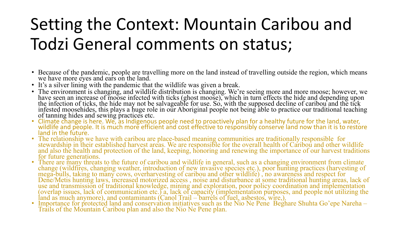## Setting the Context: Mountain Caribou and Todzi General comments on status;

- Because of the pandemic, people are travelling more on the land instead of travelling outside the region, which means we have more eyes and ears on the land.
- It's a silver lining with the pandemic that the wildlife was given a break.
- The environment is changing, and wildlife distribution is changing. We're seeing more and more moose; however, we have seen an increase of moose infected with ticks (ghost moose), which in turn effects the hide and depending upon the infection of ticks, the hide may not be salvageable for use. So, with the supposed decline of caribou and the tick infested moosehides, this plays a huge role in our Aboriginal people not being able to practice our traditional teaching of tanning hides and sewing practices etc.
- Climate change is here. We, as Indigenous people need to proactively plan for a healthy future for the land, water, wildlife and people. It is much more efficient and cost effective to responsibly conserve land now than it is to restore land in the future.
- The relationship we have with caribou are place-based meaning communities are traditionally responsible for stewardship in their established harvest areas. We are responsible for the overall health of Caribou and other wildlife and also the health and protection of the land, keeping, honoring and renewing the importance of our harvest traditions for future generations.
- There are many threats to the future of caribou and wildlife in general, such as a changing environment from climate change (wildfires, changing weather, introduction of new invasive species etc.), poor hunting practices (harvesting of mega-bulls, taking to many cows, overharvesting of caribou and other wildlife) , no awareness and respect for Dene/Metis hunting laws, increased motorized access , noise and disturbance at some traditional hunting areas, lack of use and transmission of traditional knowledge, mining and exploration, poor policy coordination and implementation (overlap issues, lack of communication etc.) a, lack of capacity (implementation purposes, and people not utilizing the land as much anymore), and contaminants (Canol Trail – barrels of fuel, asbestos, wire,).
- Importance for protected land and conservation initiatives such as the Nio Ne Pene Beghare Shuhta Go'epe Nareha Trails of the Mountain Caribou plan and also the Nio Ne Pene plan.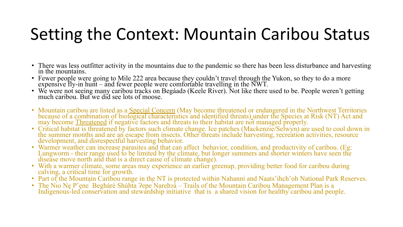## Setting the Context: Mountain Caribou Status

- There was less outfitter activity in the mountains due to the pandemic so there has been less disturbance and harvesting in the mountains.
- Fewer people were going to Mile 222 area because they couldn't travel through the Yukon, so they to do a more expensive fly-in hunt – and fewer people were comfortable travelling in the NWT.
- We were not seeing many caribou tracks on Begáadǝ (Keele River). Not like there used to be. People weren't getting much caribou. But we did see lots of moose.
- Mountain caribou are listed as a Special Concern (May become threatened or endangered in the Northwest Territories because of a combination of biological characteristics and identified threats) under the Species at Risk (NT) Act and may become **Threatened** if negative factors and threats to their habitat are not managed properly.
- Critical habitat is threatened by factors such climate change. Ice patches (Mackenzie/Selwyn) are used to cool down in the summer months and are an escape from insects. Other threats include harvesting, recreation activities, resource development, and disrespectful harvesting behavior.
- Warmer weather can increase parasites and that can affect behavior, condition, and productivity of caribou. (Eg: Lungworm - their range used to be limited by the climate, but longer summers and shorter winters have seen the disease move north and that is a direct cause of climate change).
- With a warmer climate, some areas may experience an earlier greenup, providing better food for caribou during calving, a critical time for growth.
- Part of the Mountain Caribou range in the NT is protected within Nahanni and Naats'ihch'oh National Park Reserves.
- The Nio Ne P'ene 
Begháré Shúhta Pepe Nareh?a Trails of the Mountain Caribou Management Plan is a Indigenous-led conservation and stewardship initiative that is a shared vision for healthy caribou and people.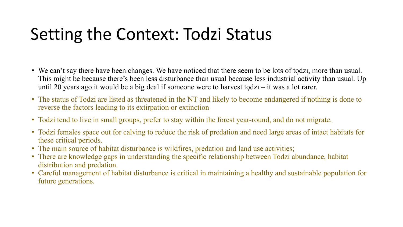## Setting the Context: Todzi Status

- We can't say there have been changes. We have noticed that there seem to be lots of todzi, more than usual. This might be because there's been less disturbance than usual because less industrial activity than usual. Up until 20 years ago it would be a big deal if someone were to harvest todz $1 - it$  was a lot rarer.
- The status of Todzi are listed as threatened in the NT and likely to become endangered if nothing is done to reverse the factors leading to its extirpation or extinction
- Todzi tend to live in small groups, prefer to stay within the forest year-round, and do not migrate.
- Todzi females space out for calving to reduce the risk of predation and need large areas of intact habitats for these critical periods.
- The main source of habitat disturbance is wildfires, predation and land use activities;
- There are knowledge gaps in understanding the specific relationship between Todzi abundance, habitat distribution and predation.
- Careful management of habitat disturbance is critical in maintaining a healthy and sustainable population for future generations.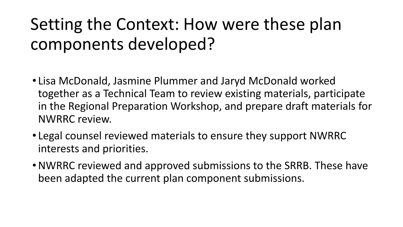## Setting the Context: How were these plan components developed?

- Lisa McDonald, Jasmine Plummer and Jaryd McDonald worked together as a Technical Team to review existing materials, participate in the Regional Preparation Workshop, and prepare draft materials for NWRRC review.
- Legal counsel reviewed materials to ensure they support NWRRC interests and priorities.
- •NWRRC reviewed and approved submissions to the SRRB. These have been adapted the current plan component submissions.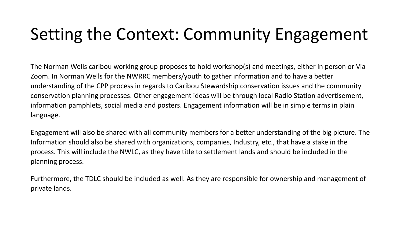## Setting the Context: Community Engagement

The Norman Wells caribou working group proposes to hold workshop(s) and meetings, either in person or Via Zoom. In Norman Wells for the NWRRC members/youth to gather information and to have a better understanding of the CPP process in regards to Caribou Stewardship conservation issues and the community conservation planning processes. Other engagement ideas will be through local Radio Station advertisement, information pamphlets, social media and posters. Engagement information will be in simple terms in plain language.

Engagement will also be shared with all community members for a better understanding of the big picture. The Information should also be shared with organizations, companies, Industry, etc., that have a stake in the process. This will include the NWLC, as they have title to settlement lands and should be included in the planning process.

Furthermore, the TDLC should be included as well. As they are responsible for ownership and management of private lands.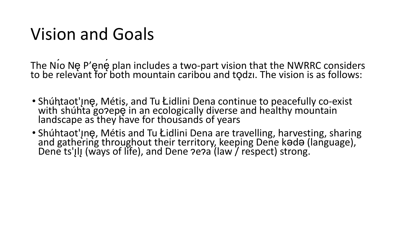## Vision and Goals

The Nio Ne P'ene plan includes a two-part vision that the NWRRC considers to be relevant for both mountain caribou and tǫdzı. The vision is as follows:

- Shúhtaot'Inę, Métis, and Tu Łidlini Dena continue to peacefully co-exist with shúhta go?epę̃ in an ecologically diverse and healthy mountain landscape as they have for thous ands of years
- Shúhtaot'Jnę, Métis and Tu Łidlini Dena are travelling, harvesting, sharing and gathering throughout their territory, keeping Dene kada (language), Dene ts'IlI (ways of life), and Dene ?e?a (law / respect) strong.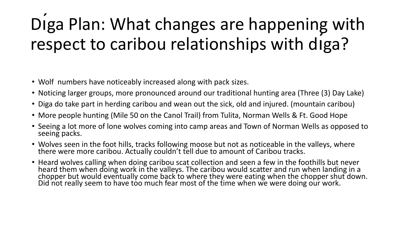## Dıga Plan: What changes are happening with respect to caribou relationships with dı́ga?

- Wolf numbers have noticeably increased along with pack sizes.
- Noticing larger groups, more pronounced around our traditional hunting area (Three (3) Day Lake)
- Diga do take part in herding caribou and wean out the sick, old and injured. (mountain caribou)
- More people hunting (Mile 50 on the Canol Trail) from Tulita, Norman Wells & Ft. Good Hope
- Seeing a lot more of lone wolves coming into camp areas and Town of Norman Wells as opposed to seeing packs.
- Wolves seen in the foot hills, tracks following moose but not as noticeable in the valleys, where there were more caribou. Actually couldn't tell due to amount of Caribou tracks.
- Heard wolves calling when doing caribou scat collection and seen a few in the foothills but never heard them when doing work in the valleys. The caribou would scatter and run when landing in a chopper but would eventually come back to where they were eating when the chopper shut down. Did not really seem to have too much fear most of the time when we were doing our work.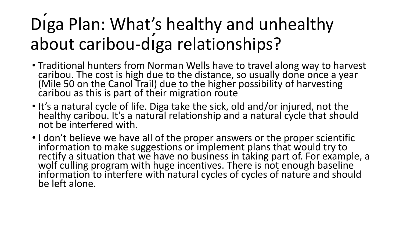## Diga Plan: What's healthy and unhealthy about caribou-dı́ga relationships?

- Traditional hunters from Norman Wells have to travel along way to harvest caribou. The cost is high due to the distance, so usually done once a year (Mile 50 on the Canol Trail) due to the higher possibility of harvesting caribou as this is part of their migration route
- It's a natural cycle of life. Diga take the sick, old and/or injured, not the healthy caribou. It's a natural relationship and a natural cycle that should not be interfered with.
- I don't believe we have all of the proper answers or the proper scientific information to make suggestions or implement plans that would try to rectify a situation that we have no business in taking part of. For example, a wolf culling program with huge incentives. There is not enough baseline information to interfere with natural cycles of cycles of nature and should be left alone.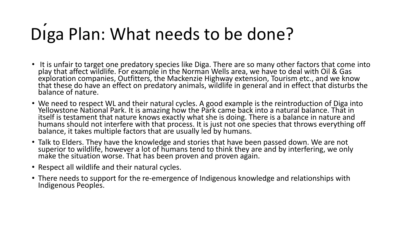## Diga Plan: What needs to be done?

- It is unfair to target one predatory species like Diga. There are so many other factors that come into play that affect wildlife. For example in the Norman Wells area, we have to deal with Oil & Gas exploration companies, Outfitters, the Mackenzie Highway extension, Tourism etc., and we know that these do have an effect on predatory animals, wildlife in general and in effect that disturbs the balance of nature.
- We need to respect WL and their natural cycles. A good example is the reintroduction of Diga into Yellowstone National Park. It is amazing how the Park came back into a natural balance. That in itself is testament that nature knows exactly what she is doing. There is a balance in nature and humans should not interfere with that process. It is just not one species that throws everything off balance, it takes multiple factors that are usually led by humans.
- Talk to Elders. They have the knowledge and stories that have been passed down. We are not superior to wildlife, however a lot of humans tend to think they are and by interfering, we only make the situation worse. That has been proven and proven again.
- Respect all wildlife and their natural cycles.
- There needs to support for the re-emergence of Indigenous knowledge and relationships with Indigenous Peoples.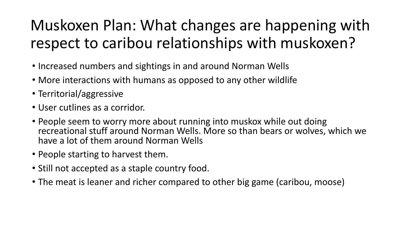### Muskoxen Plan: What changes are happening with respect to caribou relationships with muskoxen?

- Increased numbers and sightings in and around Norman Wells
- More interactions with humans as opposed to any other wildlife
- Territorial/aggressive
- User cutlines as a corridor.
- People seem to worry more about running into muskox while out doing recreational stuff around Norman Wells. More so than bears or wolves, which we have a lot of them around Norman Wells
- People starting to harvest them.
- Still not accepted as a staple country food.
- The meat is leaner and richer compared to other big game (caribou, moose)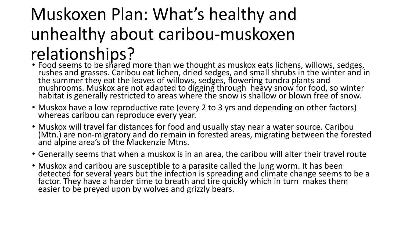## Muskoxen Plan: What's healthy and unhealthy about caribou-muskoxen relationships?

- Food seems to be shared more than we thought as muskox eats lichens, willows, sedges, rushes and grasses. Caribou eat lichen, dried sedges, and small shrubs in the winter and in the summer they eat the leaves of willows, sedges, flowering tundra plants and mushrooms. Muskox are not adapted to digging through heavy snow for food, so winter habitat is generally restricted to areas where the snow is shallow or blown free of snow.
- Muskox have a low reproductive rate (every 2 to 3 yrs and depending on other factors) whereas caribou can reproduce every year.
- Muskox will travel far distances for food and usually stay near a water source. Caribou (Mtn.) are non-migratory and do remain in forested areas, migrating between the forested and alpine area's of the Mackenzie Mtns.
- Generally seems that when a muskox is in an area, the caribou will alter their travel route
- Muskox and caribou are susceptible to a parasite called the lung worm. It has been detected for several years but the infection is spreading and climate change seems to be a factor. They have a harder time to breath and tire quickly which in turn makes them easier to be preyed upon by wolves and grizzly bears.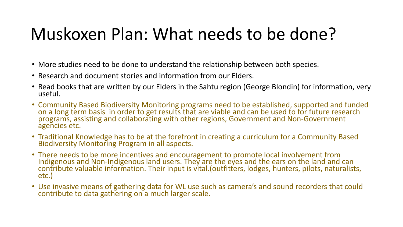## Muskoxen Plan: What needs to be done?

- More studies need to be done to understand the relationship between both species.
- Research and document stories and information from our Elders.
- Read books that are written by our Elders in the Sahtu region (George Blondin) for information, very useful.
- Community Based Biodiversity Monitoring programs need to be established, supported and funded on a long term basis in order to get results that are viable and can be used to for future research programs, assisting and collaborating with other regions, Government and Non-Government agencies etc.
- Traditional Knowledge has to be at the forefront in creating a curriculum for a Community Based Biodiversity Monitoring Program in all aspects.
- There needs to be more incentives and encouragement to promote local involvement from Indigenous and Non-Indigenous land users. They are the eyes and the ears on the land and can contribute valuable information. Their input is vital.(outfitters, lodges, hunters, pilots, naturalists, etc.)
- Use invasive means of gathering data for WL use such as camera's and sound recorders that could contribute to data gathering on a much larger scale.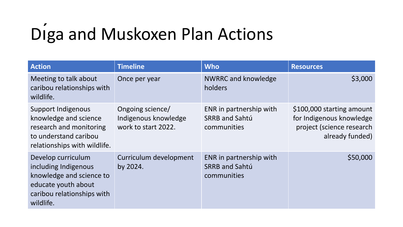# Dı́ga and Muskoxen Plan Actions

| <b>Action</b>                                                                                                                            | <b>Timeline</b>                                                 | <b>Who</b>                                                      | <b>Resources</b>                                                                                      |
|------------------------------------------------------------------------------------------------------------------------------------------|-----------------------------------------------------------------|-----------------------------------------------------------------|-------------------------------------------------------------------------------------------------------|
| Meeting to talk about<br>caribou relationships with<br>wildlife.                                                                         | Once per year                                                   | <b>NWRRC and knowledge</b><br>holders                           | \$3,000                                                                                               |
| Support Indigenous<br>knowledge and science<br>research and monitoring<br>to understand caribou<br>relationships with wildlife.          | Ongoing science/<br>Indigenous knowledge<br>work to start 2022. | ENR in partnership with<br><b>SRRB and Sahtú</b><br>communities | \$100,000 starting amount<br>for Indigenous knowledge<br>project (science research<br>already funded) |
| Develop curriculum<br>including Indigenous<br>knowledge and science to<br>educate youth about<br>caribou relationships with<br>wildlife. | Curriculum development<br>by 2024.                              | ENR in partnership with<br><b>SRRB and Sahtú</b><br>communities | \$50,000                                                                                              |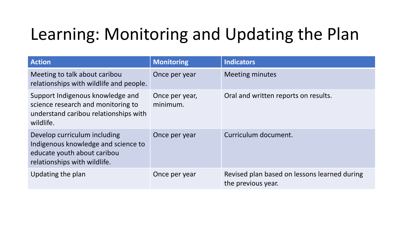## Learning: Monitoring and Updating the Plan

| <b>Action</b>                                                                                                                      | <b>Monitoring</b>          | <b>Indicators</b>                                                  |
|------------------------------------------------------------------------------------------------------------------------------------|----------------------------|--------------------------------------------------------------------|
| Meeting to talk about caribou<br>relationships with wildlife and people.                                                           | Once per year              | <b>Meeting minutes</b>                                             |
| Support Indigenous knowledge and<br>science research and monitoring to<br>understand caribou relationships with<br>wildlife.       | Once per year,<br>minimum. | Oral and written reports on results.                               |
| Develop curriculum including<br>Indigenous knowledge and science to<br>educate youth about caribou<br>relationships with wildlife. | Once per year              | Curriculum document.                                               |
| Updating the plan                                                                                                                  | Once per year              | Revised plan based on lessons learned during<br>the previous year. |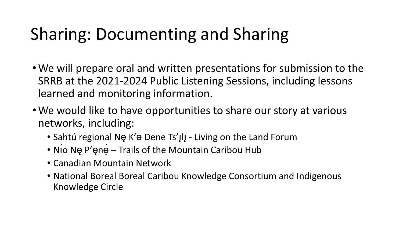## Sharing: Documenting and Sharing

- •We will prepare oral and written presentations for submission to the SRRB at the 2021-2024 Public Listening Sessions, including lessons learned and monitoring information.
- •We would like to have opportunities to share our story at various networks, including:
	- Sahtú regional Ne K'a Dene Ts'Ill Living on the Land Forum
	- Nio Ne P'ene Trails of the Mountain Caribou Hub
	- Canadian Mountain Network
	- National Boreal Boreal Caribou Knowledge Consortium and Indigenous Knowledge Circle